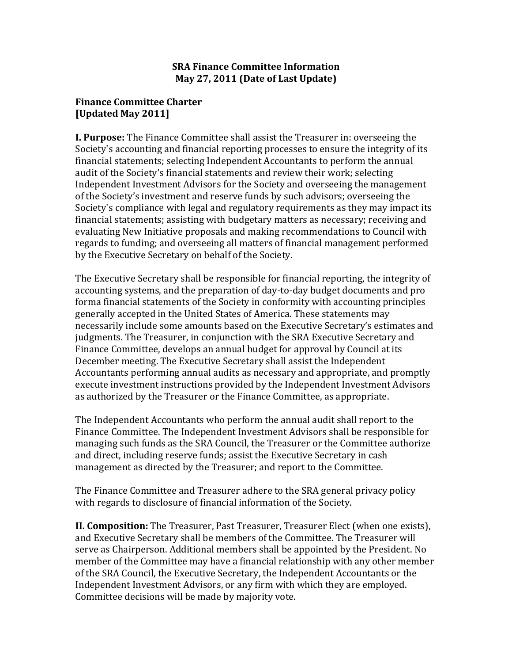## **SRA Finance Committee Information May 27, 2011 (Date of Last Update)**

## **Finance Committee Charter [Updated May 2011]**

**I. Purpose:** The Finance Committee shall assist the Treasurer in: overseeing the Society's accounting and financial reporting processes to ensure the integrity of its financial statements; selecting Independent Accountants to perform the annual audit of the Society's financial statements and review their work; selecting Independent Investment Advisors for the Society and overseeing the management of the Society's investment and reserve funds by such advisors; overseeing the Society's compliance with legal and regulatory requirements as they may impact its financial statements; assisting with budgetary matters as necessary; receiving and evaluating New Initiative proposals and making recommendations to Council with regards to funding; and overseeing all matters of financial management performed by the Executive Secretary on behalf of the Society.

The Executive Secretary shall be responsible for financial reporting, the integrity of accounting systems, and the preparation of day-to-day budget documents and pro forma financial statements of the Society in conformity with accounting principles generally accepted in the United States of America. These statements may necessarily include some amounts based on the Executive Secretary's estimates and judgments. The Treasurer, in conjunction with the SRA Executive Secretary and Finance Committee, develops an annual budget for approval by Council at its December meeting. The Executive Secretary shall assist the Independent Accountants performing annual audits as necessary and appropriate, and promptly execute investment instructions provided by the Independent Investment Advisors as authorized by the Treasurer or the Finance Committee, as appropriate.

The Independent Accountants who perform the annual audit shall report to the Finance Committee. The Independent Investment Advisors shall be responsible for managing such funds as the SRA Council, the Treasurer or the Committee authorize and direct, including reserve funds; assist the Executive Secretary in cash management as directed by the Treasurer; and report to the Committee.

The Finance Committee and Treasurer adhere to the SRA general privacy policy with regards to disclosure of financial information of the Society.

**II. Composition:** The Treasurer, Past Treasurer, Treasurer Elect (when one exists), and Executive Secretary shall be members of the Committee. The Treasurer will serve as Chairperson. Additional members shall be appointed by the President. No member of the Committee may have a financial relationship with any other member of the SRA Council, the Executive Secretary, the Independent Accountants or the Independent Investment Advisors, or any firm with which they are employed. Committee decisions will be made by majority vote.